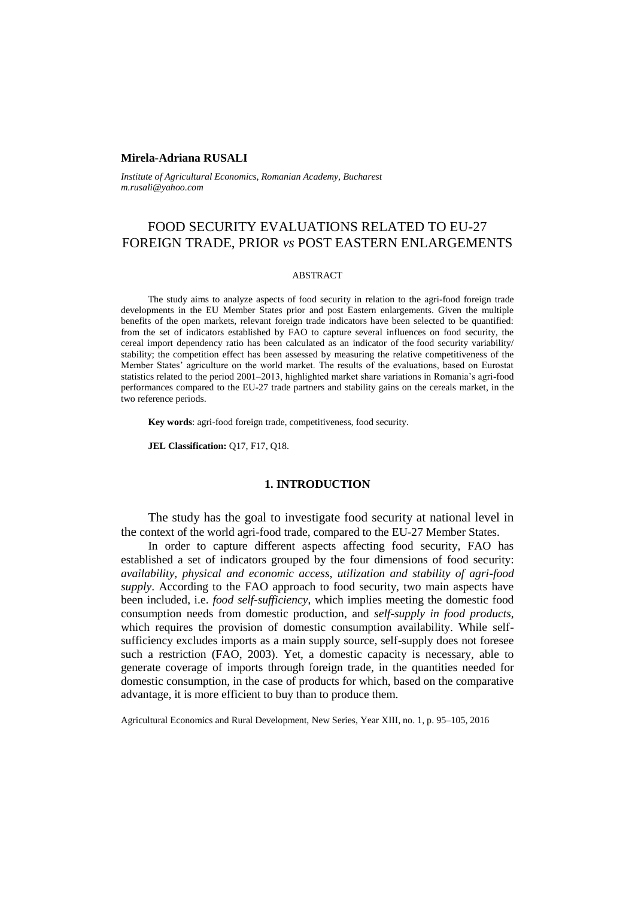## **Mirela-Adriana RUSALI**

*Institute of Agricultural Economics, Romanian Academy, Bucharest m.rusali@yahoo.com*

# FOOD SECURITY EVALUATIONS RELATED TO EU-27 FOREIGN TRADE, PRIOR *vs* POST EASTERN ENLARGEMENTS

#### ABSTRACT

The study aims to analyze aspects of food security in relation to the agri-food foreign trade developments in the EU Member States prior and post Eastern enlargements. Given the multiple benefits of the open markets, relevant foreign trade indicators have been selected to be quantified: from the set of indicators established by FAO to capture several influences on food security, the cereal import dependency ratio has been calculated as an indicator of the food security variability/ stability; the competition effect has been assessed by measuring the relative competitiveness of the Member States' agriculture on the world market. The results of the evaluations, based on Eurostat statistics related to the period 2001–2013, highlighted market share variations in Romania's agri-food performances compared to the EU-27 trade partners and stability gains on the cereals market, in the two reference periods.

**Key words**: agri-food foreign trade, competitiveness, food security.

**JEL Classification:** Q17, F17, Q18.

## **1. INTRODUCTION**

The study has the goal to investigate food security at national level in the context of the world agri-food trade, compared to the EU-27 Member States.

In order to capture different aspects affecting food security, FAO has established a set of indicators grouped by the four dimensions of food security: *availability, physical and economic access, utilization and stability of agri-food supply*. According to the FAO approach to food security, two main aspects have been included, i.e. *food self-sufficiency*, which implies meeting the domestic food consumption needs from domestic production, and *self-supply in food products*, which requires the provision of domestic consumption availability. While selfsufficiency excludes imports as a main supply source, self-supply does not foresee such a restriction (FAO, 2003). Yet, a domestic capacity is necessary, able to generate coverage of imports through foreign trade, in the quantities needed for domestic consumption, in the case of products for which, based on the comparative advantage, it is more efficient to buy than to produce them.

Agricultural Economics and Rural Development, New Series, Year XIII, no. 1, p. 95–105, 2016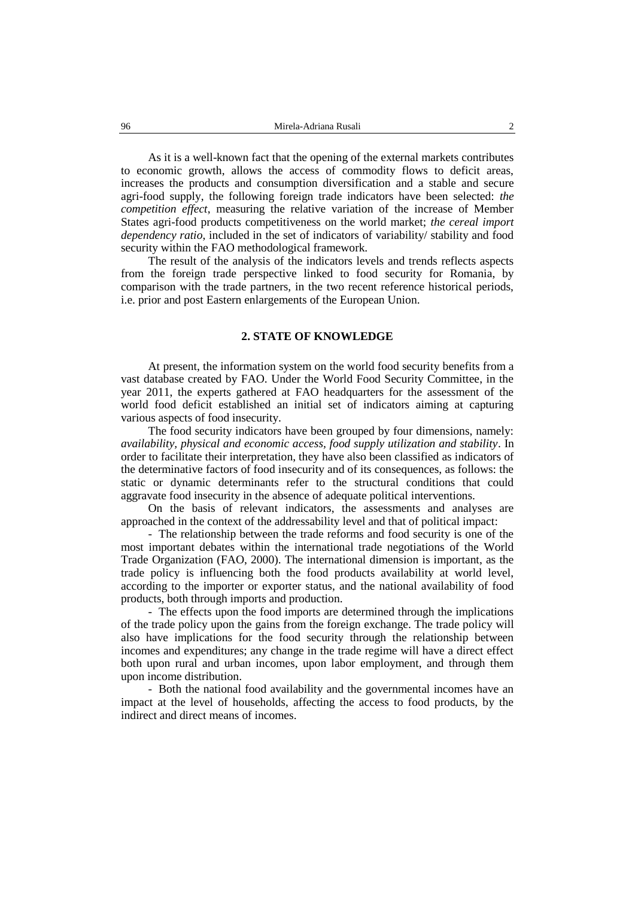As it is a well-known fact that the opening of the external markets contributes to economic growth, allows the access of commodity flows to deficit areas, increases the products and consumption diversification and a stable and secure agri-food supply, the following foreign trade indicators have been selected: *the competition effect*, measuring the relative variation of the increase of Member States agri-food products competitiveness on the world market; *the cereal import dependency ratio*, included in the set of indicators of variability/ stability and food security within the FAO methodological framework.

The result of the analysis of the indicators levels and trends reflects aspects from the foreign trade perspective linked to food security for Romania, by comparison with the trade partners, in the two recent reference historical periods, i.e. prior and post Eastern enlargements of the European Union.

# **2. STATE OF KNOWLEDGE**

At present, the information system on the world food security benefits from a vast database created by FAO. Under the World Food Security Committee, in the year 2011, the experts gathered at FAO headquarters for the assessment of the world food deficit established an initial set of indicators aiming at capturing various aspects of food insecurity.

The food security indicators have been grouped by four dimensions, namely: *availability, physical and economic access, food supply utilization and stability*. In order to facilitate their interpretation, they have also been classified as indicators of the determinative factors of food insecurity and of its consequences, as follows: the static or dynamic determinants refer to the structural conditions that could aggravate food insecurity in the absence of adequate political interventions.

On the basis of relevant indicators, the assessments and analyses are approached in the context of the addressability level and that of political impact:

- The relationship between the trade reforms and food security is one of the most important debates within the international trade negotiations of the World Trade Organization (FAO, 2000). The international dimension is important, as the trade policy is influencing both the food products availability at world level, according to the importer or exporter status, and the national availability of food products, both through imports and production.

- The effects upon the food imports are determined through the implications of the trade policy upon the gains from the foreign exchange. The trade policy will also have implications for the food security through the relationship between incomes and expenditures; any change in the trade regime will have a direct effect both upon rural and urban incomes, upon labor employment, and through them upon income distribution.

- Both the national food availability and the governmental incomes have an impact at the level of households, affecting the access to food products, by the indirect and direct means of incomes.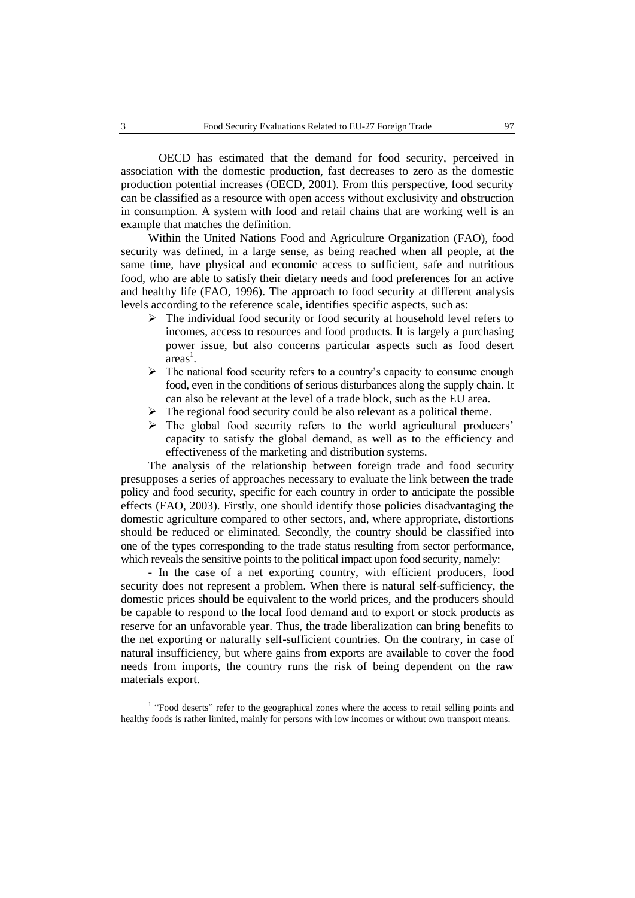OECD has estimated that the demand for food security, perceived in association with the domestic production, fast decreases to zero as the domestic production potential increases (OECD, 2001). From this perspective, food security can be classified as a resource with open access without exclusivity and obstruction in consumption. A system with food and retail chains that are working well is an example that matches the definition.

Within the United Nations Food and Agriculture Organization (FAO), food security was defined, in a large sense, as being reached when all people, at the same time, have physical and economic access to sufficient, safe and nutritious food, who are able to satisfy their dietary needs and food preferences for an active and healthy life (FAO, 1996). The approach to food security at different analysis levels according to the reference scale, identifies specific aspects, such as:

- The individual food security or food security at household level refers to incomes, access to resources and food products. It is largely a purchasing power issue, but also concerns particular aspects such as food desert  $area<sup>1</sup>$ .
- $\triangleright$  The national food security refers to a country's capacity to consume enough food, even in the conditions of serious disturbances along the supply chain. It can also be relevant at the level of a trade block, such as the EU area.
- $\triangleright$  The regional food security could be also relevant as a political theme.
- > The global food security refers to the world agricultural producers' capacity to satisfy the global demand, as well as to the efficiency and effectiveness of the marketing and distribution systems.

The analysis of the relationship between foreign trade and food security presupposes a series of approaches necessary to evaluate the link between the trade policy and food security, specific for each country in order to anticipate the possible effects (FAO, 2003). Firstly, one should identify those policies disadvantaging the domestic agriculture compared to other sectors, and, where appropriate, distortions should be reduced or eliminated. Secondly, the country should be classified into one of the types corresponding to the trade status resulting from sector performance, which reveals the sensitive points to the political impact upon food security, namely:

- In the case of a net exporting country, with efficient producers, food security does not represent a problem. When there is natural self-sufficiency, the domestic prices should be equivalent to the world prices, and the producers should be capable to respond to the local food demand and to export or stock products as reserve for an unfavorable year. Thus, the trade liberalization can bring benefits to the net exporting or naturally self-sufficient countries. On the contrary, in case of natural insufficiency, but where gains from exports are available to cover the food needs from imports, the country runs the risk of being dependent on the raw materials export.

<sup>1</sup> "Food deserts" refer to the geographical zones where the access to retail selling points and healthy foods is rather limited, mainly for persons with low incomes or without own transport means.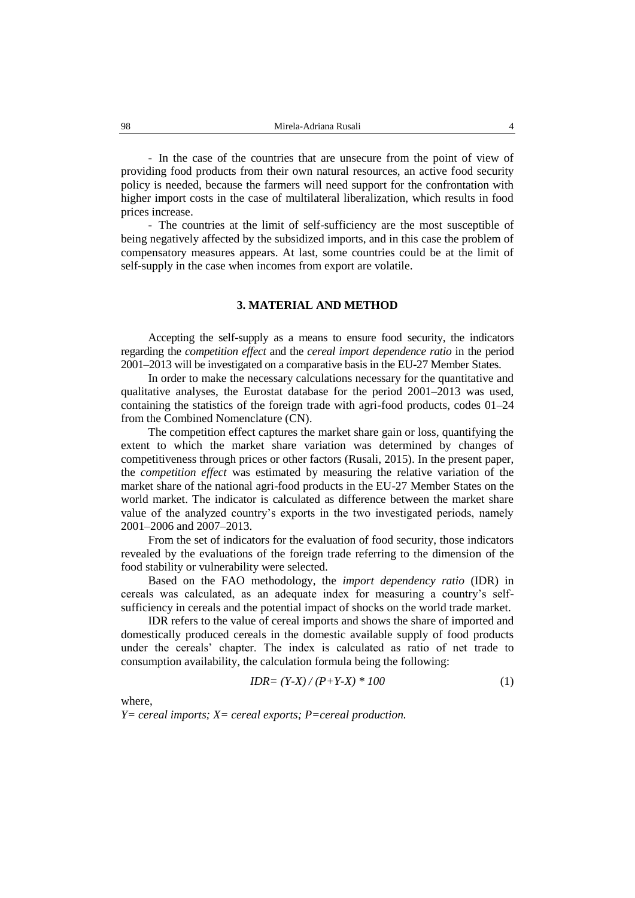- In the case of the countries that are unsecure from the point of view of providing food products from their own natural resources, an active food security policy is needed, because the farmers will need support for the confrontation with higher import costs in the case of multilateral liberalization, which results in food prices increase.

- The countries at the limit of self-sufficiency are the most susceptible of being negatively affected by the subsidized imports, and in this case the problem of compensatory measures appears. At last, some countries could be at the limit of self-supply in the case when incomes from export are volatile.

#### **3. MATERIAL AND METHOD**

Accepting the self-supply as a means to ensure food security, the indicators regarding the *competition effect* and the *cereal import dependence ratio* in the period 2001–2013 will be investigated on a comparative basis in the EU-27 Member States.

In order to make the necessary calculations necessary for the quantitative and qualitative analyses, the Eurostat database for the period 2001–2013 was used, containing the statistics of the foreign trade with agri-food products, codes 01–24 from the Combined Nomenclature (CN).

The competition effect captures the market share gain or loss, quantifying the extent to which the market share variation was determined by changes of competitiveness through prices or other factors (Rusali, 2015). In the present paper, the *competition effect* was estimated by measuring the relative variation of the market share of the national agri-food products in the EU-27 Member States on the world market. The indicator is calculated as difference between the market share value of the analyzed country's exports in the two investigated periods, namely 2001–2006 and 2007–2013.

From the set of indicators for the evaluation of food security, those indicators revealed by the evaluations of the foreign trade referring to the dimension of the food stability or vulnerability were selected.

Based on the FAO methodology, the *import dependency ratio* (IDR) in cereals was calculated, as an adequate index for measuring a country's selfsufficiency in cereals and the potential impact of shocks on the world trade market.

IDR refers to the value of cereal imports and shows the share of imported and domestically produced cereals in the domestic available supply of food products under the cereals' chapter. The index is calculated as ratio of net trade to consumption availability, the calculation formula being the following:

$$
IDR = (Y-X)/(P+Y-X) * 100 \tag{1}
$$

where,

*Y= cereal imports; X= cereal exports; P=cereal production.*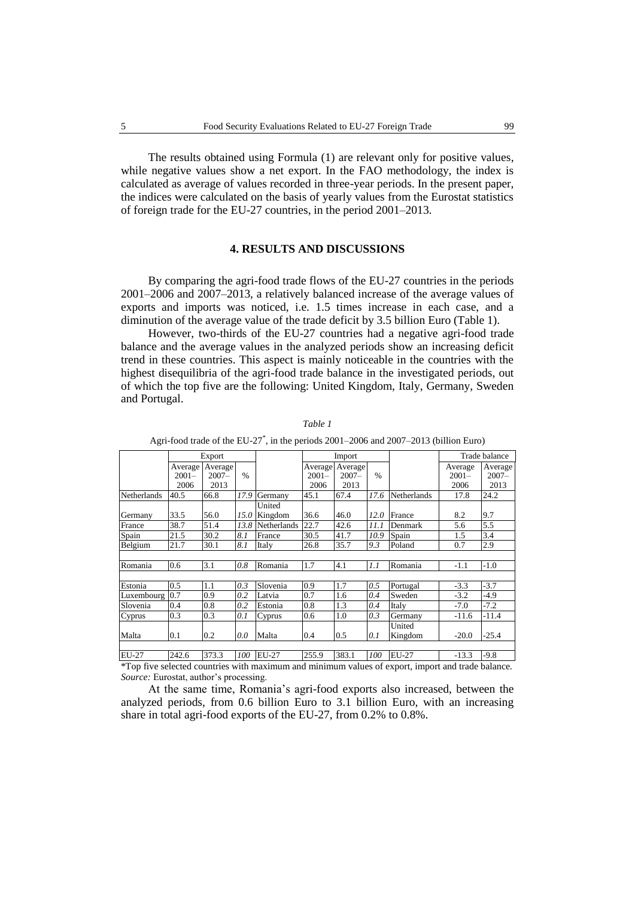The results obtained using Formula (1) are relevant only for positive values, while negative values show a net export. In the FAO methodology, the index is calculated as average of values recorded in three-year periods. In the present paper, the indices were calculated on the basis of yearly values from the Eurostat statistics of foreign trade for the EU-27 countries, in the period 2001–2013.

#### **4. RESULTS AND DISCUSSIONS**

By comparing the agri-food trade flows of the EU-27 countries in the periods 2001–2006 and 2007–2013, a relatively balanced increase of the average values of exports and imports was noticed, i.e. 1.5 times increase in each case, and a diminution of the average value of the trade deficit by 3.5 billion Euro (Table 1).

However, two-thirds of the EU-27 countries had a negative agri-food trade balance and the average values in the analyzed periods show an increasing deficit trend in these countries. This aspect is mainly noticeable in the countries with the highest disequilibria of the agri-food trade balance in the investigated periods, out of which the top five are the following: United Kingdom, Italy, Germany, Sweden and Portugal.

|                    | Export                      |                             |               |                   | Import                      |                             |      |                    | Trade balance               |                             |
|--------------------|-----------------------------|-----------------------------|---------------|-------------------|-----------------------------|-----------------------------|------|--------------------|-----------------------------|-----------------------------|
|                    | Average<br>$2001 -$<br>2006 | Average<br>$2007 -$<br>2013 | $\frac{0}{0}$ |                   | Average<br>$2001 -$<br>2006 | Average<br>$2007 -$<br>2013 | $\%$ |                    | Average<br>$2001 -$<br>2006 | Average<br>$2007 -$<br>2013 |
| <b>Netherlands</b> | 40.5                        | 66.8                        | 17.9          | Germany           | 45.1                        | 67.4                        | 17.6 | <b>Netherlands</b> | 17.8                        | 24.2                        |
| Germany            | 33.5                        | 56.0                        | 15.0          | United<br>Kingdom | 36.6                        | 46.0                        | 12.0 | France             | 8.2                         | 9.7                         |
| France             | 38.7                        | 51.4                        | 13.8          | Netherlands       | 22.7                        | 42.6                        | 11.1 | Denmark            | 5.6                         | 5.5                         |
| Spain              | 21.5                        | 30.2                        | 8.1           | France            | 30.5                        | 41.7                        | 10.9 | Spain              | 1.5                         | 3.4                         |
| Belgium            | 21.7                        | 30.1                        | 8.1           | Italy             | 26.8                        | 35.7                        | 9.3  | Poland             | 0.7                         | 2.9                         |
|                    |                             |                             |               |                   |                             |                             |      |                    |                             |                             |
| Romania            | 0.6                         | 3.1                         | 0.8           | Romania           | 1.7                         | 4.1                         | 1.1  | Romania            | $-1.1$                      | $-1.0$                      |
|                    |                             |                             |               |                   |                             |                             |      |                    |                             |                             |
| Estonia            | 0.5                         | 1.1                         | 0.3           | Slovenia          | 0.9                         | 1.7                         | 0.5  | Portugal           | $-3.3$                      | $-3.7$                      |
| Luxembourg 0.7     |                             | 0.9                         | 0.2           | Latvia            | 0.7                         | 1.6                         | 0.4  | Sweden             | $-3.2$                      | $-4.9$                      |
| Slovenia           | 0.4                         | 0.8                         | 0.2           | Estonia           | 0.8                         | 1.3                         | 0.4  | Italy              | $-7.0$                      | $-7.2$                      |
| Cyprus             | 0.3                         | 0.3                         | 0.1           | Cyprus            | 0.6                         | 1.0                         | 0.3  | Germany            | $-11.6$                     | -11.4                       |
| Malta              | 0.1                         | 0.2                         | 0.0           | Malta             | 0.4                         | 0.5                         | 0.1  | United<br>Kingdom  | $-20.0$                     | -25.4                       |
|                    |                             |                             |               |                   |                             |                             |      |                    |                             |                             |
| <b>EU-27</b>       | 242.6                       | 373.3                       | 100           | $EU-27$           | 255.9                       | 383.1                       | 100  | <b>EU-27</b>       | $-13.3$                     | $-9.8$                      |

*Table 1*

Agri-food trade of the EU-27\* , in the periods 2001–2006 and 2007–2013 (billion Euro)

\*Top five selected countries with maximum and minimum values of export, import and trade balance. *Source:* Eurostat, author's processing.

At the same time, Romania's agri-food exports also increased, between the analyzed periods, from 0.6 billion Euro to 3.1 billion Euro, with an increasing share in total agri-food exports of the EU-27, from 0.2% to 0.8%.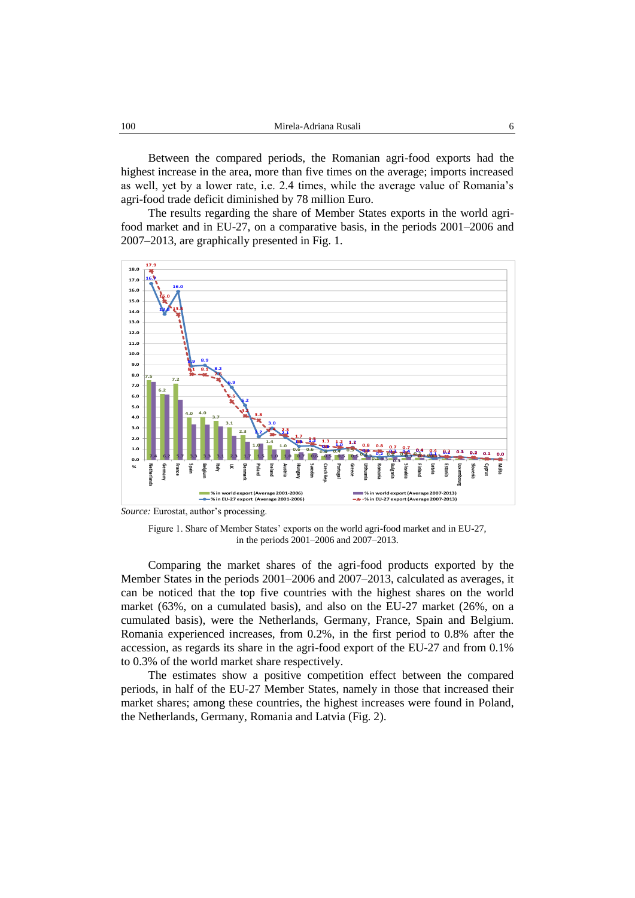Between the compared periods, the Romanian agri-food exports had the highest increase in the area, more than five times on the average; imports increased as well, yet by a lower rate, i.e. 2.4 times, while the average value of Romania's agri-food trade deficit diminished by 78 million Euro.

The results regarding the share of Member States exports in the world agrifood market and in EU-27, on a comparative basis, in the periods 2001–2006 and 2007–2013, are graphically presented in Fig. 1.



*Source:* Eurostat, author's processing.

Figure 1. Share of Member States' exports on the world agri-food market and in EU-27, in the periods 2001–2006 and 2007–2013.

Comparing the market shares of the agri-food products exported by the Member States in the periods 2001–2006 and 2007–2013, calculated as averages, it can be noticed that the top five countries with the highest shares on the world market (63%, on a cumulated basis), and also on the EU-27 market (26%, on a cumulated basis), were the Netherlands, Germany, France, Spain and Belgium. Romania experienced increases, from 0.2%, in the first period to 0.8% after the accession, as regards its share in the agri-food export of the EU-27 and from 0.1% to 0.3% of the world market share respectively.

The estimates show a positive competition effect between the compared periods, in half of the EU-27 Member States, namely in those that increased their market shares; among these countries, the highest increases were found in Poland, the Netherlands, Germany, Romania and Latvia (Fig. 2).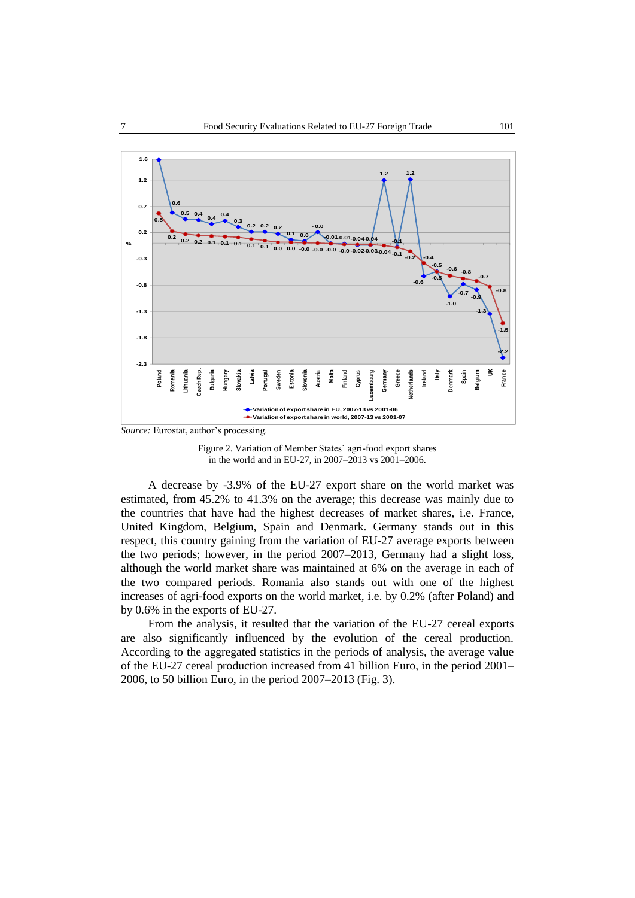

*Source:* Eurostat, author's processing.

Figure 2. Variation of Member States' agri-food export shares in the world and in EU-27, in 2007–2013 vs 2001–2006.

A decrease by -3.9% of the EU-27 export share on the world market was estimated, from 45.2% to 41.3% on the average; this decrease was mainly due to the countries that have had the highest decreases of market shares, i.e. France, United Kingdom, Belgium, Spain and Denmark. Germany stands out in this respect, this country gaining from the variation of EU-27 average exports between the two periods; however, in the period 2007–2013, Germany had a slight loss, although the world market share was maintained at 6% on the average in each of the two compared periods. Romania also stands out with one of the highest increases of agri-food exports on the world market, i.e. by 0.2% (after Poland) and by 0.6% in the exports of EU-27.

From the analysis, it resulted that the variation of the EU-27 cereal exports are also significantly influenced by the evolution of the cereal production. According to the aggregated statistics in the periods of analysis, the average value of the EU-27 cereal production increased from 41 billion Euro, in the period 2001– 2006, to 50 billion Euro, in the period 2007–2013 (Fig. 3).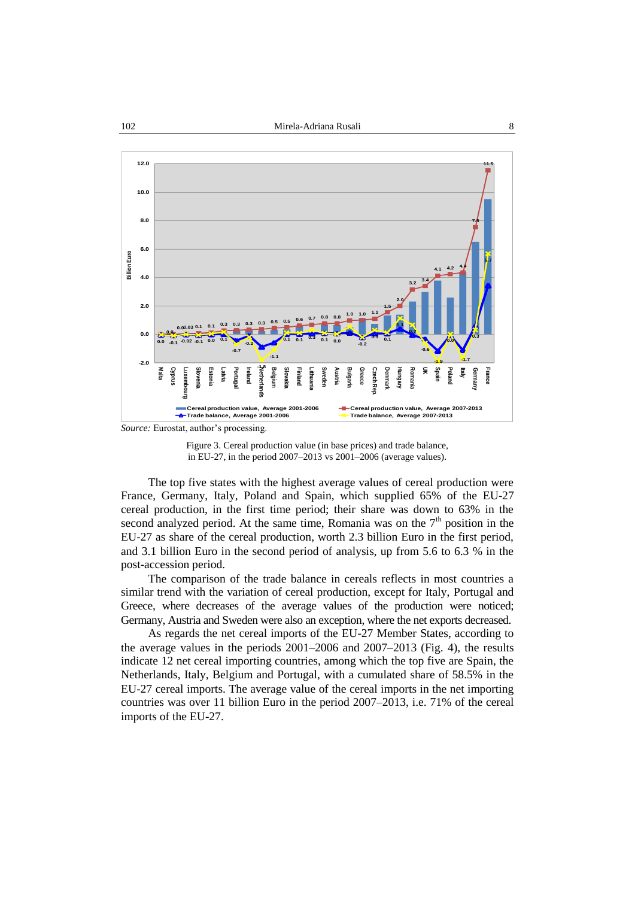

*Source:* Eurostat, author's processing.

Figure 3. Cereal production value (in base prices) and trade balance, in EU-27, in the period 2007–2013 vs 2001–2006 (average values).

The top five states with the highest average values of cereal production were France, Germany, Italy, Poland and Spain, which supplied 65% of the EU-27 cereal production, in the first time period; their share was down to 63% in the second analyzed period. At the same time, Romania was on the  $7<sup>th</sup>$  position in the EU-27 as share of the cereal production, worth 2.3 billion Euro in the first period, and 3.1 billion Euro in the second period of analysis, up from 5.6 to 6.3 % in the post-accession period.

The comparison of the trade balance in cereals reflects in most countries a similar trend with the variation of cereal production, except for Italy, Portugal and Greece, where decreases of the average values of the production were noticed; Germany, Austria and Sweden were also an exception, where the net exports decreased.

As regards the net cereal imports of the EU-27 Member States, according to the average values in the periods 2001–2006 and 2007–2013 (Fig. 4), the results indicate 12 net cereal importing countries, among which the top five are Spain, the Netherlands, Italy, Belgium and Portugal, with a cumulated share of 58.5% in the EU-27 cereal imports. The average value of the cereal imports in the net importing countries was over 11 billion Euro in the period 2007–2013, i.e. 71% of the cereal imports of the EU-27.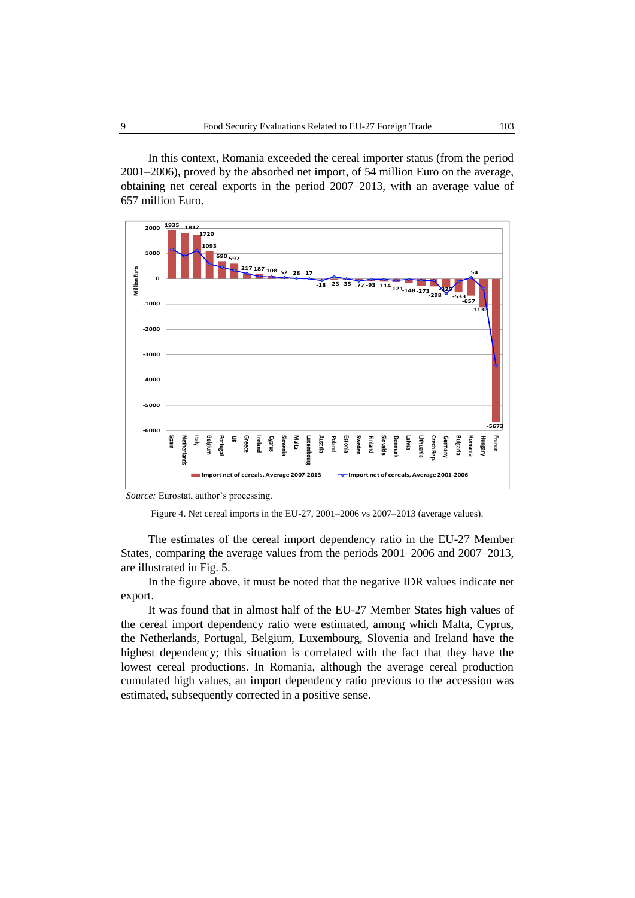In this context, Romania exceeded the cereal importer status (from the period 2001–2006), proved by the absorbed net import, of 54 million Euro on the average, obtaining net cereal exports in the period 2007–2013, with an average value of 657 million Euro.



*Source:* Eurostat, author's processing.

Figure 4. Net cereal imports in the EU-27, 2001–2006 vs 2007–2013 (average values).

The estimates of the cereal import dependency ratio in the EU-27 Member States, comparing the average values from the periods 2001–2006 and 2007–2013, are illustrated in Fig. 5.

In the figure above, it must be noted that the negative IDR values indicate net export.

It was found that in almost half of the EU-27 Member States high values of the cereal import dependency ratio were estimated, among which Malta, Cyprus, the Netherlands, Portugal, Belgium, Luxembourg, Slovenia and Ireland have the highest dependency; this situation is correlated with the fact that they have the lowest cereal productions. In Romania, although the average cereal production cumulated high values, an import dependency ratio previous to the accession was estimated, subsequently corrected in a positive sense.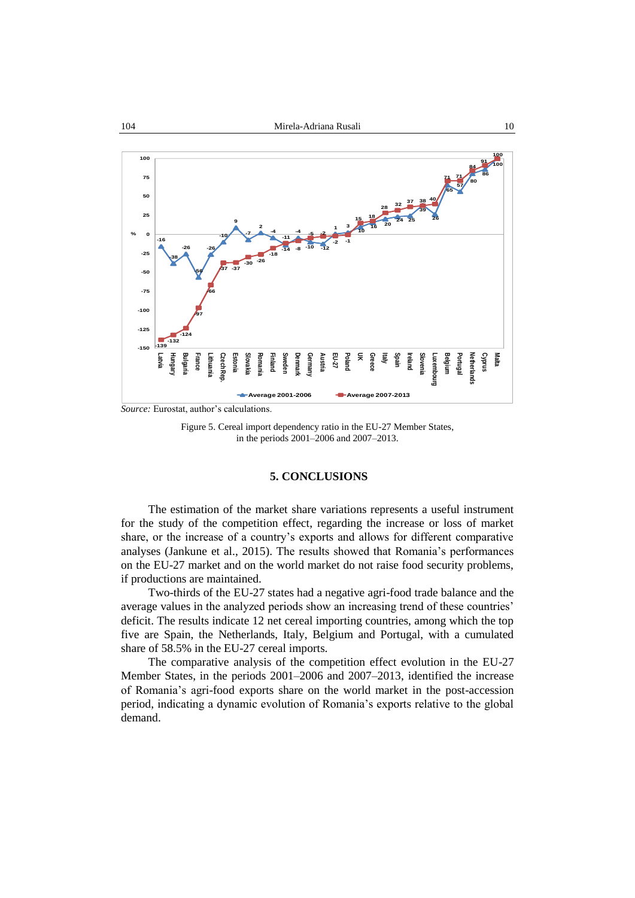

Figure 5. Cereal import dependency ratio in the EU-27 Member States, in the periods 2001–2006 and 2007–2013.

## **5. CONCLUSIONS**

The estimation of the market share variations represents a useful instrument for the study of the competition effect, regarding the increase or loss of market share, or the increase of a country's exports and allows for different comparative analyses (Jankune et al., 2015). The results showed that Romania's performances on the EU-27 market and on the world market do not raise food security problems, if productions are maintained.

Two-thirds of the EU-27 states had a negative agri-food trade balance and the average values in the analyzed periods show an increasing trend of these countries' deficit. The results indicate 12 net cereal importing countries, among which the top five are Spain, the Netherlands, Italy, Belgium and Portugal, with a cumulated share of 58.5% in the EU-27 cereal imports.

The comparative analysis of the competition effect evolution in the EU-27 Member States, in the periods 2001–2006 and 2007–2013, identified the increase of Romania's agri-food exports share on the world market in the post-accession period, indicating a dynamic evolution of Romania's exports relative to the global demand.